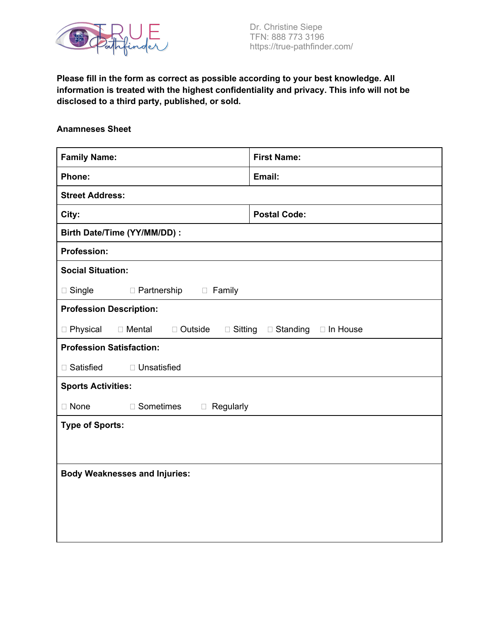

**Please fill in the form as correct as possible according to your best knowledge. All information is treated with the highest confidentiality and privacy. This info will not be disclosed to a third party, published, or sold.**

## **Anamneses Sheet**

| <b>Family Name:</b>                                     | <b>First Name:</b>              |
|---------------------------------------------------------|---------------------------------|
| Phone:                                                  | Email:                          |
| <b>Street Address:</b>                                  |                                 |
| City:                                                   | <b>Postal Code:</b>             |
| Birth Date/Time (YY/MM/DD) :                            |                                 |
| <b>Profession:</b>                                      |                                 |
| <b>Social Situation:</b>                                |                                 |
| $\square$ Single<br>$\Box$ Partnership<br><b>Family</b> |                                 |
| <b>Profession Description:</b>                          |                                 |
| □ Physical<br>□ Mental<br>$\Box$ Outside                | □ Sitting □ Standing □ In House |
| <b>Profession Satisfaction:</b>                         |                                 |
| □ Satisfied<br>□ Unsatisfied                            |                                 |
| <b>Sports Activities:</b>                               |                                 |
| $\square$ None<br>□ Sometimes<br>$\Box$ Regularly       |                                 |
| <b>Type of Sports:</b>                                  |                                 |
|                                                         |                                 |
|                                                         |                                 |
| <b>Body Weaknesses and Injuries:</b>                    |                                 |
|                                                         |                                 |
|                                                         |                                 |
|                                                         |                                 |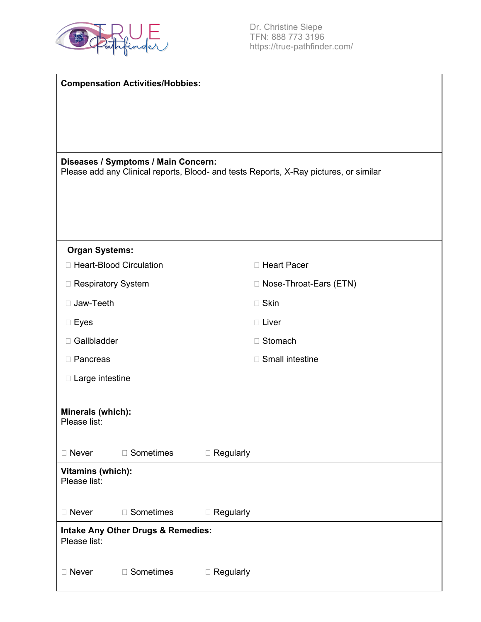

|                                   | <b>Compensation Activities/Hobbies:</b>       |                                                                                       |
|-----------------------------------|-----------------------------------------------|---------------------------------------------------------------------------------------|
|                                   |                                               |                                                                                       |
|                                   |                                               |                                                                                       |
|                                   |                                               |                                                                                       |
|                                   | Diseases / Symptoms / Main Concern:           |                                                                                       |
|                                   |                                               | Please add any Clinical reports, Blood- and tests Reports, X-Ray pictures, or similar |
|                                   |                                               |                                                                                       |
|                                   |                                               |                                                                                       |
|                                   |                                               |                                                                                       |
| <b>Organ Systems:</b>             |                                               |                                                                                       |
|                                   | □ Heart-Blood Circulation                     | □ Heart Pacer                                                                         |
| □ Respiratory System              |                                               | □ Nose-Throat-Ears (ETN)                                                              |
| □ Jaw-Teeth                       |                                               | $\square$ Skin                                                                        |
| $\square$ Eyes                    |                                               | $\Box$ Liver                                                                          |
| □ Gallbladder                     |                                               | □ Stomach                                                                             |
| □ Pancreas                        |                                               | □ Small intestine                                                                     |
| $\Box$ Large intestine            |                                               |                                                                                       |
|                                   |                                               |                                                                                       |
| Minerals (which):<br>Please list: |                                               |                                                                                       |
|                                   |                                               |                                                                                       |
| □ Never                           | □ Sometimes                                   | $\Box$ Regularly                                                                      |
| Vitamins (which):                 |                                               |                                                                                       |
| Please list:                      |                                               |                                                                                       |
| □ Never                           | □ Sometimes                                   | $\Box$ Regularly                                                                      |
| Please list:                      | <b>Intake Any Other Drugs &amp; Remedies:</b> |                                                                                       |
| □ Never                           | □ Sometimes                                   | $\Box$ Regularly                                                                      |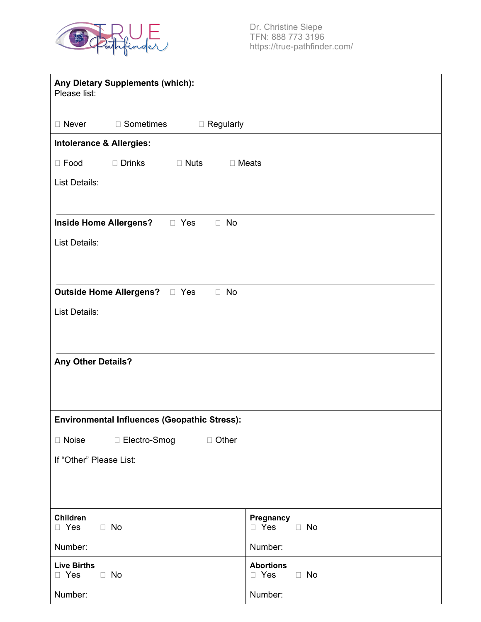

| Any Dietary Supplements (which):<br>Please list:         |                                             |
|----------------------------------------------------------|---------------------------------------------|
| □ Never<br>□ Sometimes<br>$\Box$ Regularly               |                                             |
| <b>Intolerance &amp; Allergies:</b>                      |                                             |
| $\Box$ Drinks<br>$\Box$ Food<br>$\Box$ Nuts              | $\Box$ Meats                                |
| List Details:                                            |                                             |
|                                                          |                                             |
| <b>Inside Home Allergens?</b><br>$\Box$ No<br>$\Box$ Yes |                                             |
| List Details:                                            |                                             |
|                                                          |                                             |
| $\Box$ No                                                |                                             |
| List Details:                                            |                                             |
|                                                          |                                             |
|                                                          |                                             |
| <b>Any Other Details?</b>                                |                                             |
|                                                          |                                             |
|                                                          |                                             |
| <b>Environmental Influences (Geopathic Stress):</b>      |                                             |
| □ Noise □ Electro-Smog □ Other                           |                                             |
| If "Other" Please List:                                  |                                             |
|                                                          |                                             |
|                                                          |                                             |
| <b>Children</b><br>$\Box$ No<br>□ Yes                    | Pregnancy<br>$\Box$ Yes<br>$\Box$ No        |
| Number:                                                  | Number:                                     |
| <b>Live Births</b><br>$\Box$ Yes<br>$\Box$ No            | <b>Abortions</b><br>$\Box$ Yes<br>$\Box$ No |
| Number:                                                  | Number:                                     |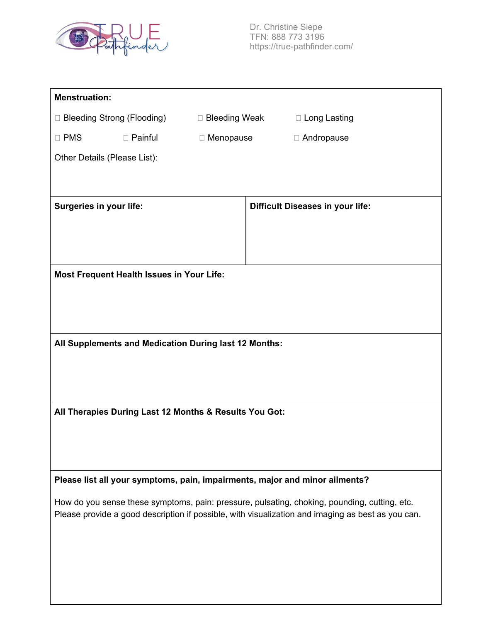

| <b>Menstruation:</b>         |                                                        |                  |                                                                                                                                                                                                   |
|------------------------------|--------------------------------------------------------|------------------|---------------------------------------------------------------------------------------------------------------------------------------------------------------------------------------------------|
| □ Bleeding Strong (Flooding) |                                                        | □ Bleeding Weak  | □ Long Lasting                                                                                                                                                                                    |
| $\square$ PMS                | $\Box$ Painful                                         | $\Box$ Menopause | □ Andropause                                                                                                                                                                                      |
| Other Details (Please List): |                                                        |                  |                                                                                                                                                                                                   |
|                              |                                                        |                  |                                                                                                                                                                                                   |
|                              |                                                        |                  |                                                                                                                                                                                                   |
| Surgeries in your life:      |                                                        |                  | <b>Difficult Diseases in your life:</b>                                                                                                                                                           |
|                              |                                                        |                  |                                                                                                                                                                                                   |
|                              |                                                        |                  |                                                                                                                                                                                                   |
|                              | <b>Most Frequent Health Issues in Your Life:</b>       |                  |                                                                                                                                                                                                   |
|                              |                                                        |                  |                                                                                                                                                                                                   |
|                              |                                                        |                  |                                                                                                                                                                                                   |
|                              |                                                        |                  |                                                                                                                                                                                                   |
|                              | All Supplements and Medication During last 12 Months:  |                  |                                                                                                                                                                                                   |
|                              |                                                        |                  |                                                                                                                                                                                                   |
|                              |                                                        |                  |                                                                                                                                                                                                   |
|                              | All Therapies During Last 12 Months & Results You Got: |                  |                                                                                                                                                                                                   |
|                              |                                                        |                  |                                                                                                                                                                                                   |
|                              |                                                        |                  |                                                                                                                                                                                                   |
|                              |                                                        |                  |                                                                                                                                                                                                   |
|                              |                                                        |                  | Please list all your symptoms, pain, impairments, major and minor ailments?                                                                                                                       |
|                              |                                                        |                  | How do you sense these symptoms, pain: pressure, pulsating, choking, pounding, cutting, etc.<br>Please provide a good description if possible, with visualization and imaging as best as you can. |
|                              |                                                        |                  |                                                                                                                                                                                                   |
|                              |                                                        |                  |                                                                                                                                                                                                   |
|                              |                                                        |                  |                                                                                                                                                                                                   |
|                              |                                                        |                  |                                                                                                                                                                                                   |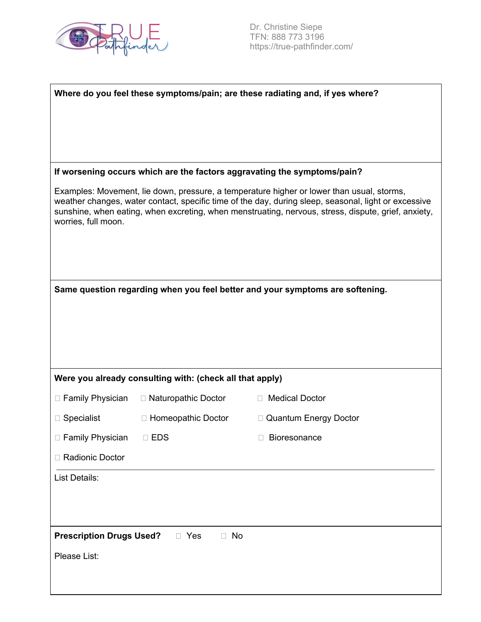

Dr. Christine Siepe TFN: 888 773 3196 https://true-pathfinder.com/

|                                 |                                                          | Where do you feel these symptoms/pain; are these radiating and, if yes where?                                                                                                                                                                                                                            |
|---------------------------------|----------------------------------------------------------|----------------------------------------------------------------------------------------------------------------------------------------------------------------------------------------------------------------------------------------------------------------------------------------------------------|
|                                 |                                                          |                                                                                                                                                                                                                                                                                                          |
|                                 |                                                          |                                                                                                                                                                                                                                                                                                          |
|                                 |                                                          |                                                                                                                                                                                                                                                                                                          |
|                                 |                                                          | If worsening occurs which are the factors aggravating the symptoms/pain?                                                                                                                                                                                                                                 |
| worries, full moon.             |                                                          | Examples: Movement, lie down, pressure, a temperature higher or lower than usual, storms,<br>weather changes, water contact, specific time of the day, during sleep, seasonal, light or excessive<br>sunshine, when eating, when excreting, when menstruating, nervous, stress, dispute, grief, anxiety, |
|                                 |                                                          |                                                                                                                                                                                                                                                                                                          |
|                                 |                                                          | Same question regarding when you feel better and your symptoms are softening.                                                                                                                                                                                                                            |
|                                 |                                                          |                                                                                                                                                                                                                                                                                                          |
|                                 |                                                          |                                                                                                                                                                                                                                                                                                          |
|                                 |                                                          |                                                                                                                                                                                                                                                                                                          |
|                                 | Were you already consulting with: (check all that apply) |                                                                                                                                                                                                                                                                                                          |
| $\Box$ Family Physician         | □ Naturopathic Doctor                                    | □ Medical Doctor                                                                                                                                                                                                                                                                                         |
| $\Box$ Specialist               | □ Homeopathic Doctor                                     | □ Quantum Energy Doctor                                                                                                                                                                                                                                                                                  |
| □ Family Physician □ EDS        |                                                          | □ Bioresonance                                                                                                                                                                                                                                                                                           |
| □ Radionic Doctor               |                                                          |                                                                                                                                                                                                                                                                                                          |
| List Details:                   |                                                          |                                                                                                                                                                                                                                                                                                          |
|                                 |                                                          |                                                                                                                                                                                                                                                                                                          |
|                                 |                                                          |                                                                                                                                                                                                                                                                                                          |
| <b>Prescription Drugs Used?</b> | $\Box$ Yes<br>$\Box$ No                                  |                                                                                                                                                                                                                                                                                                          |
| Please List:                    |                                                          |                                                                                                                                                                                                                                                                                                          |
|                                 |                                                          |                                                                                                                                                                                                                                                                                                          |
|                                 |                                                          |                                                                                                                                                                                                                                                                                                          |
|                                 |                                                          |                                                                                                                                                                                                                                                                                                          |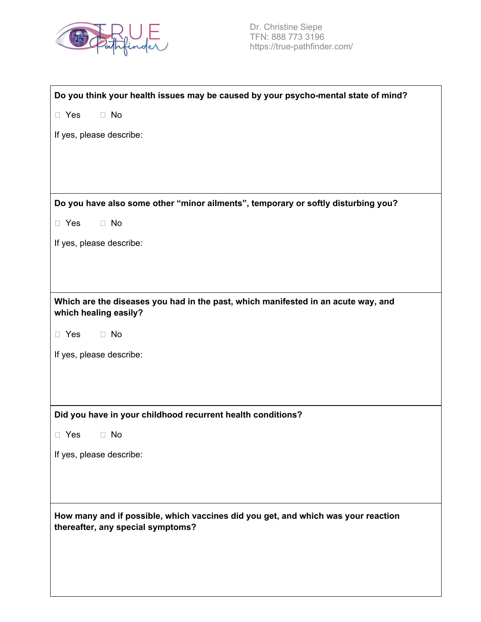

| Do you think your health issues may be caused by your psycho-mental state of mind?                                     |
|------------------------------------------------------------------------------------------------------------------------|
| $\Box$ No<br>$\Box$ Yes                                                                                                |
| If yes, please describe:                                                                                               |
|                                                                                                                        |
|                                                                                                                        |
| Do you have also some other "minor ailments", temporary or softly disturbing you?                                      |
|                                                                                                                        |
| $\Box$ No<br>$\Box$ Yes                                                                                                |
| If yes, please describe:                                                                                               |
|                                                                                                                        |
|                                                                                                                        |
| Which are the diseases you had in the past, which manifested in an acute way, and<br>which healing easily?             |
| $\Box$ No<br>$\Box$ Yes                                                                                                |
| If yes, please describe:                                                                                               |
|                                                                                                                        |
|                                                                                                                        |
| Did you have in your childhood recurrent health conditions?                                                            |
| $\Box$ No<br>$\Box$ Yes                                                                                                |
| If yes, please describe:                                                                                               |
|                                                                                                                        |
|                                                                                                                        |
| How many and if possible, which vaccines did you get, and which was your reaction<br>thereafter, any special symptoms? |
|                                                                                                                        |
|                                                                                                                        |
|                                                                                                                        |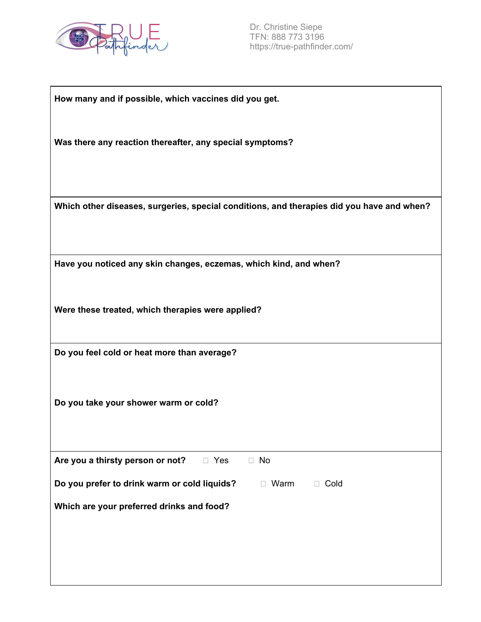

| How many and if possible, which vaccines did you get. |
|-------------------------------------------------------|
|-------------------------------------------------------|

**Was there any reaction thereafter, any special symptoms?**

**Which other diseases, surgeries, special conditions, and therapies did you have and when?**

**Have you noticed any skin changes, eczemas, which kind, and when?**

**Were these treated, which therapies were applied?**

**Do you feel cold or heat more than average?**

**Do you take your shower warm or cold?**

**Are you a thirsty person or not?**  $\Box$  Yes  $\Box$  No

**Do** you prefer to drink warm or cold liquids?  $\Box$  Warm  $\Box$  Cold

**Which are your preferred drinks and food?**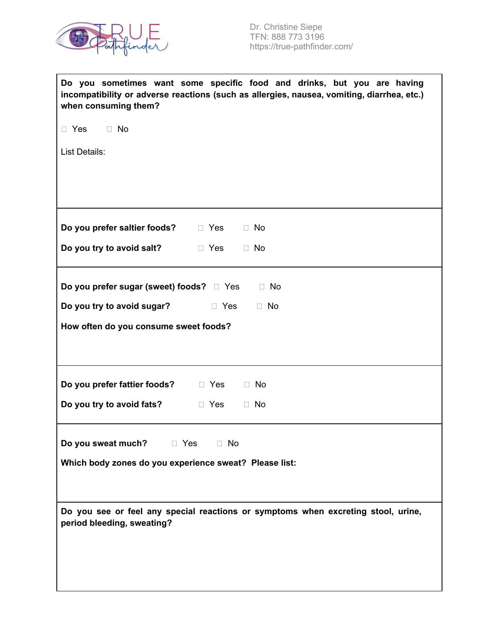

| Do you sometimes want some specific food and drinks, but you are having<br>incompatibility or adverse reactions (such as allergies, nausea, vomiting, diarrhea, etc.)<br>when consuming them? |
|-----------------------------------------------------------------------------------------------------------------------------------------------------------------------------------------------|
| $\Box$ No<br>$\Box$ Yes                                                                                                                                                                       |
| List Details:                                                                                                                                                                                 |
|                                                                                                                                                                                               |
|                                                                                                                                                                                               |
| <b>Do you prefer saltier foods?</b> □ Yes<br>$\Box$ No                                                                                                                                        |
| Do you try to avoid salt?<br>$\Box$ No<br>$\Box$ Yes                                                                                                                                          |
| <b>Do you prefer sugar (sweet) foods?</b> □ Yes<br>$\Box$ No                                                                                                                                  |
| Do you try to avoid sugar?<br>$\Box$ Yes<br>$\Box$ No                                                                                                                                         |
| How often do you consume sweet foods?                                                                                                                                                         |
|                                                                                                                                                                                               |
| Do you prefer fattier foods?<br>$\Box$ Yes<br>$\Box$ No                                                                                                                                       |
| Do you try to avoid fats?<br>$\Box$ No<br>$\Box$ Yes                                                                                                                                          |
| <b>Do you sweat much?</b> □ Yes □ No<br>Which body zones do you experience sweat? Please list:                                                                                                |
|                                                                                                                                                                                               |
| Do you see or feel any special reactions or symptoms when excreting stool, urine,<br>period bleeding, sweating?                                                                               |
|                                                                                                                                                                                               |
|                                                                                                                                                                                               |
|                                                                                                                                                                                               |